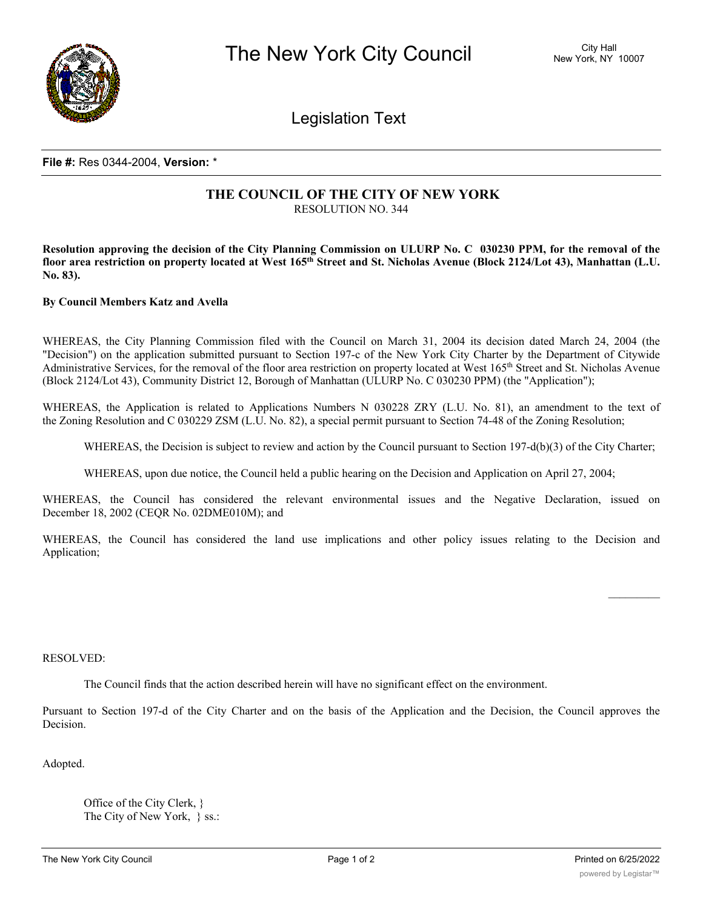

Legislation Text

## **File #:** Res 0344-2004, **Version:** \*

## **THE COUNCIL OF THE CITY OF NEW YORK** RESOLUTION NO. 344

Resolution approving the decision of the City Planning Commission on ULURP No. C 030230 PPM, for the removal of the floor area restriction on property located at West 165<sup>th</sup> Street and St. Nicholas Avenue (Block 2124/Lot 43), Manhattan (L.U. **No. 83).**

## **By Council Members Katz and Avella**

WHEREAS, the City Planning Commission filed with the Council on March 31, 2004 its decision dated March 24, 2004 (the "Decision") on the application submitted pursuant to Section 197-c of the New York City Charter by the Department of Citywide Administrative Services, for the removal of the floor area restriction on property located at West 165th Street and St. Nicholas Avenue (Block 2124/Lot 43), Community District 12, Borough of Manhattan (ULURP No. C 030230 PPM) (the "Application");

WHEREAS, the Application is related to Applications Numbers N 030228 ZRY (L.U. No. 81), an amendment to the text of the Zoning Resolution and C 030229 ZSM (L.U. No. 82), a special permit pursuant to Section 74-48 of the Zoning Resolution;

WHEREAS, the Decision is subject to review and action by the Council pursuant to Section 197-d(b)(3) of the City Charter;

WHEREAS, upon due notice, the Council held a public hearing on the Decision and Application on April 27, 2004;

WHEREAS, the Council has considered the relevant environmental issues and the Negative Declaration, issued on December 18, 2002 (CEQR No. 02DME010M); and

WHEREAS, the Council has considered the land use implications and other policy issues relating to the Decision and Application;

## RESOLVED:

The Council finds that the action described herein will have no significant effect on the environment.

Pursuant to Section 197-d of the City Charter and on the basis of the Application and the Decision, the Council approves the Decision.

Adopted.

Office of the City Clerk, } The City of New York, } ss.:

I hereby certify that the foregoing is a true copy of a Resolution passed by The Council of The City of New York on

 $\frac{1}{2}$